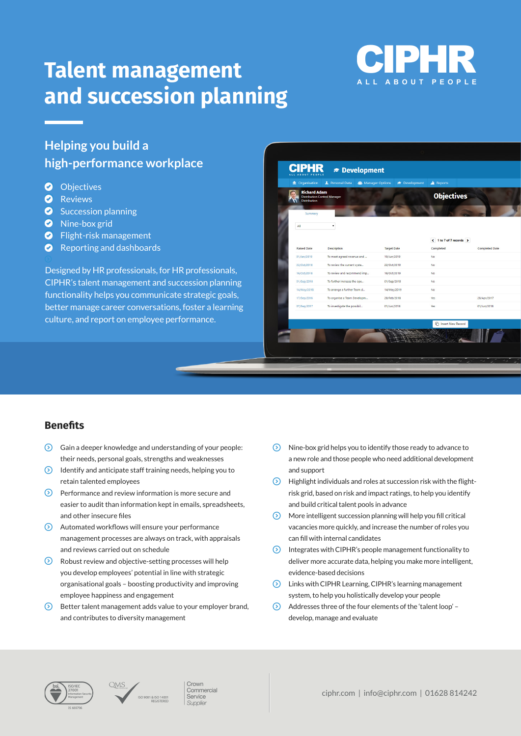# **Talent management and succession planning**



# **Helping you build a high-performance workplace**

- **O** Objectives
- **O** Reviews
- **B** Succession planning
- **B** Nine-box grid
- $\bullet$  Flight-risk management
- $\bullet$  Reporting and dashboards

Designed by HR professionals, for HR professionals, CIPHR's talent management and succession planning functionality helps you communicate strategic goals, better manage career conversations, foster a learning culture, and report on employee performance.

## **CIPHR** *<del>■</del>* Development

| <b>Richard Adam</b><br><b>Distribution Control Manager</b><br><b>Distribution</b><br>Summary |                             | <b>Objectives</b>  |                                                |                       |
|----------------------------------------------------------------------------------------------|-----------------------------|--------------------|------------------------------------------------|-----------------------|
|                                                                                              |                             |                    |                                                |                       |
| All                                                                                          | ۰                           |                    |                                                |                       |
|                                                                                              |                             |                    | $\leftarrow$ 1 to 7 of 7 records $\rightarrow$ |                       |
| <b>Raised Date</b>                                                                           | <b>Description</b>          | <b>Target Date</b> | Completed                                      | <b>Completed Date</b> |
| 01/Jan/2019                                                                                  | To meet agreed revenue and  | 19/Jun/2019        | <b>No</b>                                      |                       |
| 22/Oct/2018                                                                                  | To review the current syste | 22/Oct/2019        | <b>No</b>                                      |                       |
| 16/Oct/2018                                                                                  | To review and recommend imp | 16/Oct/2019        | No                                             |                       |
| 01/Sep/2018                                                                                  | To further increase the ope | 01/Sep/2019        | <b>No</b>                                      |                       |
| 14/May/2018                                                                                  | To arrange a further Team d | 14/May/2019        | <b>No</b>                                      |                       |
|                                                                                              | To organise a Team Developm | 28/Feb/2018        | Yes                                            | 28/Apr/2017           |
| 17/Sep/2018                                                                                  |                             |                    |                                                |                       |

# **Benefits**

- $\odot$  Gain a deeper knowledge and understanding of your people: their needs, personal goals, strengths and weaknesses
- $\odot$  Identify and anticipate staff training needs, helping you to retain talented employees
- $\odot$  Performance and review information is more secure and easier to audit than information kept in emails, spreadsheets, and other insecure files
- $\odot$  Automated workflows will ensure your performance management processes are always on track, with appraisals and reviews carried out on schedule
- $\odot$  Robust review and objective-setting processes will help you develop employees' potential in line with strategic organisational goals – boosting productivity and improving employee happiness and engagement
- $\odot$  Better talent management adds value to your employer brand, and contributes to diversity management
- $\odot$  Nine-box grid helps you to identify those ready to advance to a new role and those people who need additional development and support
- $\odot$  Highlight individuals and roles at succession risk with the flightrisk grid, based on risk and impact ratings, to help you identify and build critical talent pools in advance
- $\odot$  More intelligent succession planning will help you fill critical vacancies more quickly, and increase the number of roles you can fill with internal candidates
- $\odot$  Integrates with CIPHR's people management functionality to deliver more accurate data, helping you make more intelligent, evidence-based decisions
- $\odot$  Links with CIPHR Learning, CIPHR's learning management system, to help you holistically develop your people
- B Addresses three of the four elements of the 'talent loop' develop, manage and evaluate





Commercial Service